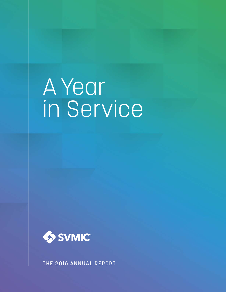# A Year in Service



THE 2016 ANNUAL REPORT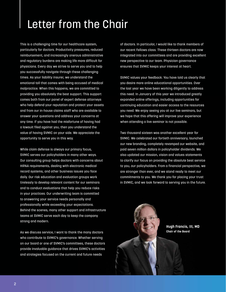# Letter from the Chair

This is a challenging time for our healthcare system, particularly for doctors. Productivity pressures, reduced reimbursement, and increasingly onerous administrative and regulatory burdens are making life more difficult for physicians. Every day we strive to serve you and to help you successfully navigate through these challenging times. As your liability insurer, we understand the emotional toll that comes with being accused of medical malpractice. When this happens, we are committed to providing you absolutely the best support. This support comes both from our panel of expert defense attorneys who help defend your reputation and protect your assets and from our in-house claims staff who are available to answer your questions and address your concerns at any time. If you have had the misfortune of having had a lawsuit filed against you, then you understand the value of having SVMIC on your side. We appreciate the opportunity to serve you in this way.

While claim defense is always our primary focus, SVMIC serves our policyholders in many other ways. Our consulting group helps doctors with concerns about HIPAA requirements, dealing with electronic medical record systems, and other business issues you face daily. Our risk education and evaluation groups work tirelessly to develop relevant content for our seminars and to conduct evaluations that help you reduce risks in your practices. Our underwriting team is committed to answering your service needs personally and professionally while exceeding your expectations. Behind the scenes, many other support and infrastructure teams at SVMIC serve each day to keep the company strong and modern.

As we discuss service, I want to thank the many doctors who contribute to SVMIC's governance. Whether serving on our board or one of SVMIC's committees, these doctors provide invaluable guidance that drives SVMIC's activities and strategies focused on the current and future needs

of doctors. In particular, I would like to thank members of our recent Fellows class. These thirteen doctors are now integrated into our committees and are providing excellent new perspective to our team. Physician governance ensures that SVMIC keeps your interest at heart.

SVMIC values your feedback. You have told us clearly that you desire more online educational opportunities. Over the last year we have been working diligently to address this need. In January of this year we introduced greatly expanded online offerings, including opportunities for continuing education and easier access to the resources you need. We enjoy seeing you at our live seminars, but we hope that this offering will improve your experience when attending a live seminar is not possible.

Two thousand sixteen was another excellent year for SVMIC. We celebrated our fortieth anniversary, launched our new branding, completely revamped our website, and paid seven million dollars in policyholder dividends. We also updated our mission, vision and values statements to clarify our focus on providing the absolute best service to you, our policyholders. From a financial perspective, we are stronger than ever, and we stand ready to meet our commitments to you. We thank you for placing your trust in SVMIC, and we look forward to serving you in the future.



**Hugh Francis, III, MD Chair of the Board**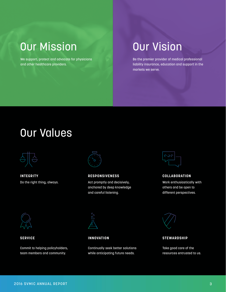### Our Mission

We support, protect and advocate for physicians and other healthcare providers.

### Our Vision

Be the premier provider of medical professional liability insurance, education and support in the markets we serve.

### Our Values



Do the right thing, always. **INTEGRITY**



Act promptly and decisively, anchored by deep knowledge and careful listening. **RESPONSIVENESS**



Work enthusiastically with others and be open to different perspectives. **COLLABORATION**



#### **SERVICE**

Commit to helping policyholders, team members and community.



**INNOVATION**

Continually seek better solutions while anticipating future needs.



**STEWARDSHIP**

Take good care of the resources entrusted to us.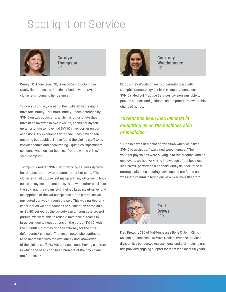# Spotlight on Service



**Carolyn Thompson** MD

Carolyn C. Thompson, MD, is an OBGYN practicing in Nashville, Tennessee. She described how the SVMIC claims staff came to her defense.

"Since starting my career in Nashville 20 years ago, I have fortunately – or unfortunately – been defended by SVMIC on two occasions. While it is unfortunate that I have been involved in two lawsuits, I consider myself quite fortunate to have had SVMIC in my corner on both occasions. My experience with SVMIC has never been anything but positive; I have found the claims staff to be knowledgeable and encouraging – qualities important to someone who has just been confronted with a crisis," said Thompson.

Thompson credited SVMIC with working seamlessly with her defense attorney to prepare her for her suits. "The claims staff, of course, set me up with my attorney in both cases. In my most recent case, there were other parties to the suit, and the claims staff helped keep my attorney and me apprised of the various 'pieces of the puzzle' as we navigated our way through the suit. This was particularly important as we approached the culmination of the suit, as SVMIC served as the go-between amongst the several parties. We were able to reach a favorable outcome in large part due to negotiations on the part of SVMIC with the plaintiff's attorney and the attorney for the other defendants," she said. Thompson noted she continues to be impressed with the availability and knowledge of the claims staff. "SVMIC service means having a culture in which the needs and best interests of the physicians are foremost."



**Courtney Woodmansee** MD

Dr. Courtney Woodmansee is a dermatologist with Memphis Dermatology Clinic in Memphis, Tennessee. SVMIC's Medical Practice Services division was able to provide support and guidance as the practice's ownership changed hands.

### *"SVMIC has been instrumental in educating us on the business side of medicine."*

"Our clinic was at a point of transition when we asked SVMIC to assist us," explained Woodmansee. "The younger physicians were buying in to the practice, and as employees we had very little knowledge of the business side. SVMIC performed a financial analysis, facilitated a strategic planning meeting, developed a pro forma and was instrumental in hiring our new Executive Director."



**Fred Drews** CEO

Fred Drews is CEO of Mid-Tennessee Bone & Joint Clinic in Columbia, Tennessee. SVMIC's Medical Practice Services division has conducted assessments and staff training and has provided ongoing support for them for almost 20 years.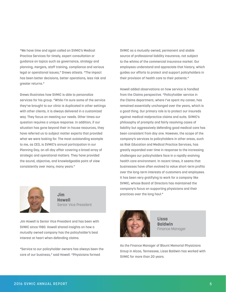"We have time and again called on SVMIC's Medical Practice Services for timely, expert consultation or guidance on topics such as governance, strategy and planning, mergers, staff training, compliance and various legal or operational issues," Drews attests. "The impact has been better decisions, better operations, less risk and greater returns."

Drews illustrates how SVMIC is able to personalize services for his group. "While I'm sure some of the service they've brought to our clinic is duplicated in other settings with other clients, it is always delivered in a customized way. They focus on meeting our needs. Other times our question requires a unique response. In addition, if our situation has gone beyond their in-house resources, they have referred us to subject matter experts that provided what we were looking for. The most outstanding example to me, as CEO, is SVMIC's annual participation in our Planning Day, an all-day affair covering a broad array of strategic and operational matters. They have provided the sound, objective, and knowledgeable point of view consistently over many, many years."



**Jim Howell** Senior Vice President

Jim Howell is Senior Vice President and has been with SVMIC since 1980. Howell shared insights on how a mutually owned company has the policyholder's best interest at heart when defending claims.

"Service to our policyholder owners has always been the core of our business," said Howell. "Physicians formed

SVMIC as a mutually owned, permanent and stable source of professional liability insurance, not subject to the whims of the commercial insurance market. Our employees understand and appreciate that history, which guides our efforts to protect and support policyholders in their provision of health care to their patients."

Howell added observations on how service is handled from the Claims perspective. "Policyholder service in the Claims department, where I've spent my career, has remained essentially unchanged over the years, which is a good thing. Our primary role is to protect our insureds against medical malpractice claims and suits. SVMIC's philosophy of promptly and fairly resolving cases of liability but aggressively defending good medical care has been consistent from day one. However, the scope of the company's services to policyholders in other areas, such as Risk Education and Medical Practice Services, has greatly expanded over time in response to the increasing challenges our policyholders face in a rapidly evolving health care environment. In recent times, it seems that businesses have often evolved to value short-term profits over the long-term interests of customers and employees. It has been very gratifying to work for a company like SVMIC, whose Board of Directors has maintained the company's focus on supporting physicians and their practices over the long haul."



**Lissa Baldwin** Finance Manager

As the Finance Manager of Blount Memorial Physicians Group in Alcoa, Tennessee, Lissa Baldwin has worked with SVMIC for more than 20 years.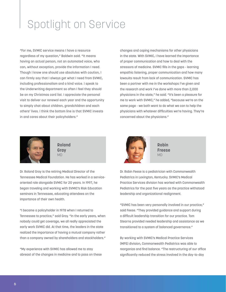# Spotlight on Service

"For me, SVMIC service means I have a resource regardless of my question," Baldwin said. "It means having an actual person, not an automated voice, who can, without exception, provide the information I need. Though I know one should use absolutes with caution, I can firmly say that I always get what I need from SVMIC, including professionalism and a kind voice. I speak to the Underwriting department so often I feel they should be on my Christmas card list. I appreciate the personal visit to deliver our renewal each year and the opportunity to simply chat about children, grandchildren and each others' lives. I think the bottom line is that SVMIC invests in and cares about their policyholders."



**Roland Gray** MD

Dr. Roland Gray is the retiring Medical Director of the Tennessee Medical Foundation. He has worked in a serviceoriented role alongside SVMIC for 20 years. In 1997, he began traveling and working with SVMIC's Risk Education seminars in Tennessee, educating attendees on the importance of their own health.

"I became a policyholder in 1978 when I returned to Tennessee to practice," said Gray. "In the early years, when nobody could get coverage, we all really appreciated the early work SVMIC did. At that time, the leaders in the state realized the importance of having a mutual company rather than a company owned by shareholders and stockholders."

"My experience with SVMIC has allowed me to stay abreast of the changes in medicine and to pass on these changes and coping mechanisms for other physicians in the state. With SVMIC, I have learned the importance of proper communication and how to deal with the stressors of medicine. SVMIC fills in the gaps - learning empathic listening, proper communication and how many lawsuits result from lack of communication. SVMIC has been a partner with me in the workshops I've given and the research and work I've done with more than 2,000 physicians in the state," he said. "It's been a pleasure for me to work with SVMIC," he added, "because we're on the same page - we both want to do what we can to help the physicians with whatever difficulties we're having. They're concerned about the physicians."



**Robin Freese** MD

Dr. Robin Feese is a pediatrician with Commonwealth Pediatrics in Lexington, Kentucky. SVMIC's Medical Practice Services division has worked with Commonwealth Pediatrics for the past five years as the practice withstood leadership and organizational realignment.

"SVMIC has been very personally involved in our practice," said Feese. "They provided guidance and support during a difficult leadership transition for our practice. Tom Stearns provided needed leadership and assistance as we transitioned to a system of balanced governance."

By working with SVMIC's Medical Practice Services (MPS) division, Commonwealth Pediatrics was able to reorganize and find balance. "The restructuring of our office significantly reduced the stress involved in the day-to-day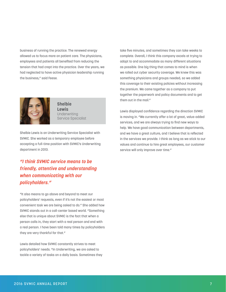business of running the practice. The renewed energy allowed us to focus more on patient care. The physicians, employees and patients all benefited from reducing the tension that had crept into the practice. Over the years, we had neglected to have active physician leadership running the business," said Feese.



**Shelbie Lewis** Underwriting Service Specialist

Shelbie Lewis is an Underwriting Service Specialist with SVMIC. She worked as a temporary employee before accepting a full-time position with SVMIC's Underwriting department in 2013.

### *"I think SVMIC service means to be friendly, attentive and understanding when communicating with our policyholders."*

"It also means to go above and beyond to meet our policyholders' requests, even if it's not the easiest or most convenient task we are being asked to do." She added how SVMIC stands out in a call-center based world. "Something else that is unique about SVMIC is the fact that when a person calls in, they start with a real person and end with a real person. I have been told many times by policyholders they are very thankful for that."

Lewis detailed how SVMIC constantly strives to meet policyholders' needs. "In Underwriting, we are asked to tackle a variety of tasks on a daily basis. Sometimes they take five minutes, and sometimes they can take weeks to complete. Overall, I think this company excels at trying to adapt to and accommodate as many different situations as possible. One big thing that comes to mind is when we rolled out cyber security coverage. We knew this was something physicians and groups needed, so we added this coverage to their existing policies without increasing the premium. We came together as a company to put together the paperwork and policy documents and to get them out in the mail."

Lewis displayed confidence regarding the direction SVMIC is moving in. "We currently offer a lot of great, value-added services, and we are always trying to find new ways to help. We have good communication between departments, and we have a great culture, and I believe that is reflected in the services we provide. I think as long as we stick to our values and continue to hire great employees, our customer service will only improve over time."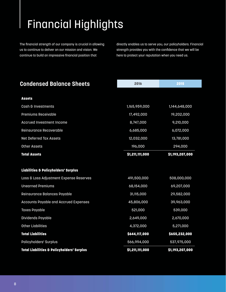# Financial Highlights

The financial strength of our company is crucial in allowing us to continue to deliver on our mission and vision. We continue to build an impressive financial position that

directly enables us to serve you, our policyholders. Financial strength provides you with the confidence that we will be here to protect your reputation when you need us.

| <b>Condensed Balance Sheets</b>                       | 2016            | 2015            |
|-------------------------------------------------------|-----------------|-----------------|
|                                                       |                 |                 |
| <b>Assets</b>                                         |                 |                 |
| Cash & Investments                                    | 1,165,959,000   | 1,144,648,000   |
| <b>Premiums Receivable</b>                            | 17,492,000      | 19,202,000      |
| <b>Accrued Investment Income</b>                      | 8,747,000       | 9,210,000       |
| Reinsurance Recoverable                               | 6,685,000       | 6,072,000       |
| <b>Net Deferred Tax Assets</b>                        | 12,032,000      | 13,781,000      |
| <b>Other Assets</b>                                   | 196,000         | 294,000         |
| <b>Total Assets</b>                                   | \$1,211,111,000 | \$1,193,207,000 |
|                                                       |                 |                 |
| <b>Liabilities &amp; Policyholders' Surplus</b>       |                 |                 |
| Loss & Loss Adjustment Expense Reserves               | 491,500,000     | 508,000,000     |
| <b>Unearned Premiums</b>                              | 68,154,000      | 69,207,000      |
| Reinsurance Balances Payable                          | 31,115,000      | 29,582,000      |
| Accounts Payable and Accrued Expenses                 | 45,806,000      | 39,963,000      |
| <b>Taxes Payable</b>                                  | 521,000         | 539,000         |
| Dividends Payable                                     | 2,649,000       | 2,670,000       |
| <b>Other Liabilities</b>                              | 4,372,000       | 5,271,000       |
| <b>Total Liabilities</b>                              | \$644,117,000   | \$655,232,000   |
| Policyholders' Surplus                                | 566,994,000     | 537,975,000     |
| <b>Total Liabilities &amp; Policyholders' Surplus</b> | \$1,211,111,000 | \$1,193,207,000 |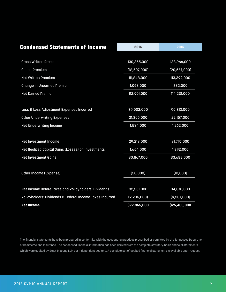| <b>Condensed Statements of Income</b>                    | 2016           | 2015           |
|----------------------------------------------------------|----------------|----------------|
|                                                          |                |                |
| <b>Gross Written Premium</b>                             | 130,355,000    | 133,966,000    |
| <b>Ceded Premium</b>                                     | (18, 507, 000) | (20, 567, 000) |
| <b>Net Written Premium</b>                               | 111,848,000    | 113,399,000    |
| <b>Change in Unearned Premium</b>                        | 1,053,000      | 832,000        |
| <b>Net Earned Premium</b>                                | 112,901,000    | 114,231,000    |
|                                                          |                |                |
| Loss & Loss Adjustment Expenses Incurred                 | 89,502,000     | 90,812,000     |
| <b>Other Underwriting Expenses</b>                       | 21,865,000     | 22,157,000     |
| Net Underwriting Income                                  | 1,534,000      | 1,262,000      |
|                                                          |                |                |
| Net Investment Income                                    | 29,213,000     | 31,797,000     |
| Net Realized Capital Gains (Losses) on Investments       | 1,654,000      | 1,892,000      |
| <b>Net Investment Gains</b>                              | 30,867,000     | 33,689,000     |
|                                                          |                |                |
| Other Income (Expense)                                   | (50,000)       | (81,000)       |
|                                                          |                |                |
| Net Income Before Taxes and Policyholders' Dividends     | 32,351,000     | 34,870,000     |
| Policyholders' Dividends & Federal Income Taxes Incurred | (9,986,000)    | (9, 387, 000)  |
| <b>Net Income</b>                                        | \$22,365,000   | \$25,483,000   |

The financial statements have been prepared in conformity with the accounting practices prescribed or permitted by the Tennessee Department of Commerce and Insurance. The condensed financial information has been derived from the complete statutory-basis financial statements which were audited by Ernst & Young LLP, our independent auditors. A complete set of audited financial statements is available upon request.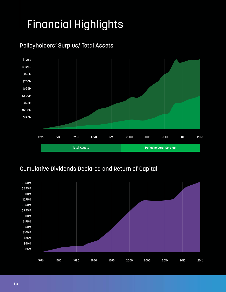# Financial Highlights





### Cumulative Dividends Declared and Return of Capital

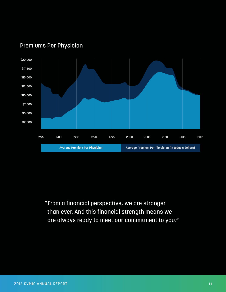

### Premiums Per Physician

"From a financial perspective, we are stronger than ever. And this financial strength means we are always ready to meet our commitment to you."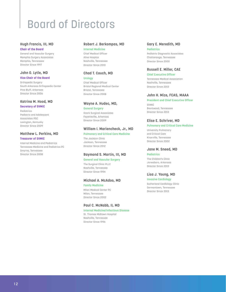# Board of Directors

### **Hugh Francis, III, MD**

#### **Chair of the Board**

General and Vascular Surgery Memphis Surgery Associates Memphis, Tennessee Director Since 1997

#### **John O. Lytle, MD**

#### **Vice Chair of the Board**

Orthopedic Surgery South Arkansas Orthopaedic Center Pine Bluff, Arkansas Director Since 2006

### **Katrina M. Hood, MD**

#### **Secretary of SVMIC**

Pediatrics Pediatric and Adolescent Associates PSC Lexington, Kentucky Director Since 2009

#### **Matthew L. Perkins, MD Treasurer of SVMIC**

Internal Medicine and Pediatrics Tennessee Medicine and Pediatrics PC Smyrna, Tennessee Director Since 2008

#### **Robert J. Berkompas, MD Internal Medicine**

Chief Medical Officer Alive Hospice Nashville, Tennessee Director Since 2010

#### **Chad T. Couch, MD**

#### **Urology**

Chief Medical Officer Bristol Regional Medical Center Bristol, Tennessee Director Since 2008

#### **Wayne A. Hudec, MD,**

#### **General Surgery**

Ozark Surgical Associates Fayetteville, Arkansas Director Since 2009

#### **William I. Mariencheck, Jr., MD**

#### **Pulmonary and Critical Care Medicine**

The Jackson Clinic Jackson, Tennessee Director Since 2012

#### **Raymond S. Martin, III, MD**

#### **General and Vascular Surgery**

The Surgical Clinic PLLC Nashville, Tennessee Director Since 1994

#### **Michael A. McAdoo, MD**

**Family Medicine** Milan Medical Center PC Milan, Tennessee Director Since 2002

#### **Paul C. McNabb, II, MD**

**Internal Medicine/Infectious Disease** St. Thomas Midtown Hospital Nashville, Tennessee Director Since 1996

#### **Gary E. Meredith, MD**

#### **Pediatrics**

Pediatric Diagnostic Associates Chattanooga, Tennessee Director Since 2000

#### **Russell E. Miller, CAE**

**Chief Executive Officer** Tennessee Medical Association Nashville, Tennessee Director Since 2013

#### **John H. Mize, FCAS, MAAA**

#### **President and Chief Executive Officer**  SVMIC

Brentwood, Tennessee Director Since 2013

#### **Elise E. Schriver, MD**

#### **Pulmonary and Critical Care Medicine**

University Pulmonary and Critical Care Knoxville, Tennessee Director Since 2002

#### **Jane M. Sneed, MD**

#### **Pediatrics**

The Children's Clinic Jonesboro, Arkansas Director Since 2013

#### **Lisa J. Young, MD**

#### **Invasive Cardiology**

Sutherland Cardiology Clinic Germantown, Tennessee Director Since 2013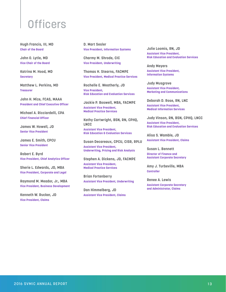# **Officers**

**Hugh Francis, III, MD Chair of the Board**

**John O. Lytle, MD Vice Chair of the Board**

**Katrina M. Hood, MD Secretary**

**Matthew L. Perkins, MD Treasurer**

**John H. Mize, FCAS, MAAA President and Chief Executive Officer**

**Michael A. Ricciardelli, CPA Chief Financial Officer**

**James W. Howell, JD Senior Vice President**

**James E. Smith, CPCU Senior Vice President**

**Robert E. Byrd Vice President, Chief Analytics Officer**

**Sherie L. Edwards, JD, MBA Vice President, Corporate and Legal**

**Raymond M. Meador, Jr., MBA Vice President, Business Development**

**Kenneth W. Rucker, JD Vice President, Claims**

**D. Mart Sesler Vice President, Information Systems**

**Charmy M. Shrode, CIC Vice President, Underwriting**

**Thomas H. Stearns, FACMPE Vice President, Medical Practice Services**

**Rochelle E. Weatherly, JD Vice President, Risk Education and Evaluation Services**

**Jackie P. Boswell, MBA, FACMPE Assistant Vice President, Medical Practice Services**

**Kathy Cartwright, BSN, RN, CPHQ, LNCC Assistant Vice President, Risk Education & Evaluation Services**

**Susan Decareaux, CPCU, CISR, RPLU Assistant Vice President, Underwriting, Pricing and Risk Analysis**

**Stephen A. Dickens, JD, FACMPE Assistant Vice President, Medical Practice Services**

**Brian Fortenberry Assistant Vice President, Underwriting**

**Dan Himmelberg, JD Assistant Vice President, Claims** **Julie Loomis, RN, JD Assistant Vice President, Risk Education and Evaluation Services** 

**Andy Meyers Assistant Vice President, Information Systems**

**Judy Musgrove Assistant Vice President, Marketing and Communications**

**Deborah D. Rose, RN, LNC**

**Assistant Vice President, Medical Information Services**

**Judy Vinson, RN, BSN, CPHQ, LNCC Assistant Vice President, Risk Education and Evaluation Services**

**Alisa S. Wamble, JD Assistant Vice President, Claims**

**Susan L. Bennett Director of Finance and Assistant Corporate Secretary**

**Amy J. Turbeville, MBA Controller**

**Renee A. Lewis Assistant Corporate Secretary and Administrator, Claims**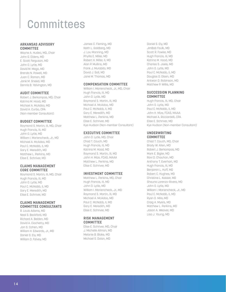### **Committees**

#### **ARKANSAS ADVISORY COMMITTEE**

Wayne A. Hudec, MD, Chair John G. Elders, MD E. Scott Ferguson, MD John O. Lytle, MD David M. Mego, MD Brenda N. Powell, MD Juan C. Roman, MD Jane M. Sneed, MD Dennis B. Yelvington, MD

#### **AUDIT COMMITTEE**

Robert J. Berkompas, MD, Chair Katrina M. Hood, MD Michael A. McAdoo, MD David A. Curbo, CPA (Non-member Consultant)

#### **BUDGET COMMITTEE**

Raymond S. Martin, III, MD, Chair Hugh Francis, III, MD John O. Lytle, MD William I. Mariencheck, Jr., MD Michael A. McAdoo, MD Paul C. McNabb, II, MD Gary E. Meredith, MD Matthew L. Perkins, MD Elise E. Schriver, MD

#### **CLAIMS MANAGEMENT CORE COMMITTEE**

Raymond S. Martin, III, MD, Chair Hugh Francis, III, MD John O. Lytle, MD Paul C. McNabb, II, MD Gary E. Meredith, MD Elise E. Schriver, MD

#### **CLAIMS MANAGEMENT COMMITTEE CONSULTANTS**

R. Louis Adams, MD Neal S. Beckford, MD Richard A. Belden, MD David A. Ciochetty, MD Jon S. Cohen, MD William H. Edwards, Jr., MD Daniel S. Ely, MD William D. Falvey, MD

James C. Fleming, MD Keith L. Goldberg, MD J. Lou Manning, MD Phyllis E. Miller, MD Robert H. Miller, II, MD Alan P. Mullins, MD Frank J. Murabito, MD David J. Soll, MD Jane M. Thomas, MD

#### **COMPENSATION COMMITTEE**

William I. Mariencheck, Jr., MD, Chair Hugh Francis, III, MD John O. Lytle, MD Raymond S. Martin, III, MD Michael A. McAdoo, MD Paul C. McNabb, II, MD Gary E. Meredith, MD Matthew L. Perkins, MD Elise E. Schriver, MD Kye Hudson (Non-member Consultant)

#### **EXECUTIVE COMMITTEE**

John O. Lytle, MD, Chair Chad T. Couch, MD Hugh Francis, III, MD Katrina M. Hood, MD Raymond S. Martin, III, MD John H. Mize, FCAS, MAAA Matthew L. Perkins, MD Elise E. Schriver, MD

#### **INVESTMENT COMMITTEE**

Matthew L. Perkins, MD, Chair Hugh Francis, III, MD John O. Lytle, MD William I. Mariencheck, Jr., MD Raymond S. Martin, III, MD Michael A. McAdoo, MD Paul C. McNabb, II, MD Gary E. Meredith, MD Elise E. Schriver, MD

#### **RISK MANAGEMENT COMMITTEE**

Elise E. Schriver, MD, Chair J. Michelle Allmon, MD Melanie B. Blake, MD Michael S. Dolan, MD

Daniel S. Ely, MD JimBob Faulk, MD Scott R. Fowler, MD Hugh Francis, III, MD Katrina M. Hood, MD Charles S. Joels, MD John O. Lytle, MD Paul C. McNabb, II, MD Douglas O. Olsen, MD Antwan D. Robinson, MD Matthew P. Willis, MD

#### **SUCCESSION PLANNING COMMITTEE**

Hugh Francis, III, MD, Chair John O. Lytle, MD Paul C. McNabb, II, MD John H. Mize, FCAS, MAAA Michael A. Ricciardelli, CPA Elise E. Schriver, MD Kye Hudson (Non-member Consultant)

#### **UNDERWRITING COMMITTEE**

Chad T. Couch, MD, Chair Brady W. Allen, MD Robert J. Berkompas, MD Mark E. Bigler, MD Ravi D. Chauhan, MD Anthony T. Everhart, MD Hugh Francis, III, MD Benjamin L. Huff, MD Robert C. Hughes, MD Christine L. Kasser, MD Shauna Lorenzo-Rivera, MD John O. Lytle, MD William I. Mariencheck, Jr., MD Paul C. McNabb, II, MD Ryan D. Mire, MD Craig A. Myers, MD Matthew L. Perkins, MD Jason A. Weaver, MD Lisa J. Young, MD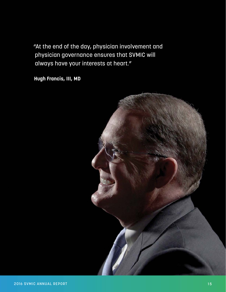"At the end of the day, physician involvement and physician governance ensures that SVMIC will always have your interests at heart."

**Hugh Francis, III, MD**